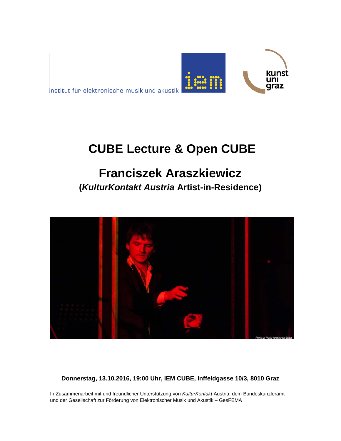

# **CUBE Lecture & Open CUBE**

kunst ını araz

## **Franciszek Araszkiewicz**

**(***KulturKontakt Austria* **Artist-in-Residence)**



**Donnerstag, 13.10.2016, 19:00 Uhr, IEM CUBE, Inffeldgasse 10/3, 8010 Graz**

In Zusammenarbeit mit und freundlicher Unterstützung von *KulturKontakt* Austria, dem Bundeskanzleramt und der Gesellschaft zur Förderung von Elektronischer Musik und Akustik – GesFEMA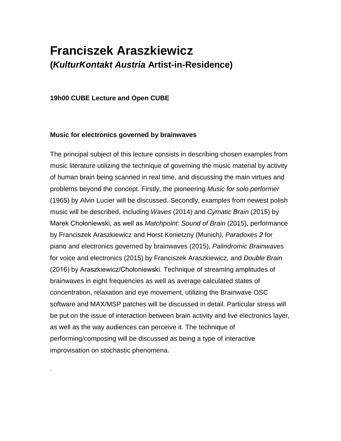### **Franciszek Araszkiewicz (***KulturKontakt Austria* **Artist-in-Residence)**

#### **19h00 CUBE Lecture and Open CUBE**

.

#### **Music for electronics governed by brainwaves**

The principal subject of this lecture consists in describing chosen examples from music literature utilizing the technique of governing the music material by activity of human brain being scanned in real time, and discussing the main virtues and problems beyond the concept. Firstly, the pioneering *Music for solo performer* (1965) by Alvin Lucier will be discussed. Secondly, examples from newest polish music will be described, including *Waves* (2014) and *Cymatic Brain* (2015) by Marek Chołoniewski, as well as *Matchpoint: Sound of Brain* (2015), performance by Franciszek Araszkiewicz and Horst Konietzny (Munich*), Paradoxes 2* for piano and electronics governed by brainwaves (2015), *Palindromic Brainwaves* for voice and electronics (2015) by Franciszek Araszkiewicz, and *Double Brain*  (2016) by Araszkiewicz/Chołoniewski. Technique of streaming amplitudes of brainwaves in eight frequencies as well as average calculated states of concentration, relaxation and eye movement, utilizing the Brainwave OSC software and MAX/MSP patches will be discussed in detail. Particular stress will be put on the issue of interaction between brain activity and live electronics layer, as well as the way audiences can perceive it. The technique of performing/composing will be discussed as being a type of interactive improvisation on stochastic phenomena.